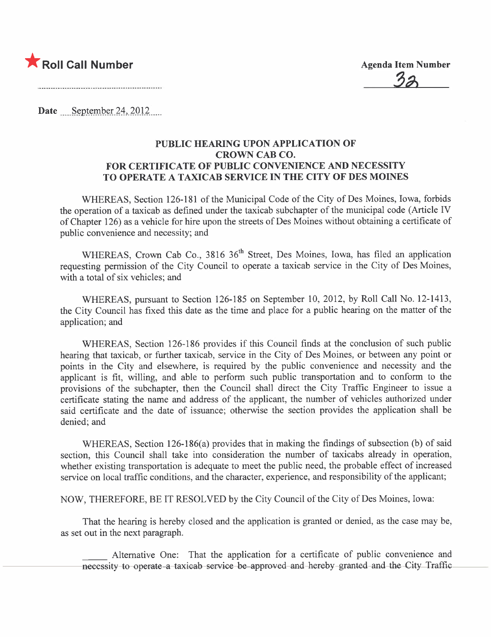

Date September 24, 2012

#### PUBLIC HEARING UPON APPLICATION OF CROWN CAB CO. FOR CERTIFICATE OF PUBLIC CONVENIENCE AND NECESSITY TO OPERATE A TAXICAB SERVICE IN THE CITY OF DES MOINES

WHEREAS, Section 126-181 of the Municipal Code of the City of Des Moines, Iowa, forbids the operation of a taxicab as defined under the taxicab subchapter of the municipal code (Article IV of Chapter 126) as a vehicle for hire upon the streets of Des Moines without obtaining a certificate of public convenience and necessity; and

WHEREAS, Crown Cab Co., 3816 36<sup>th</sup> Street, Des Moines, Iowa, has filed an application requesting permission of the City Council to operate a taxicab service in the City of Des Moines, with a total of six vehicles; and

WHEREAS, pursuant to Section 126-185 on September 10, 2012, by Roll Call No. 12-1413, the City Council has fixed this date as the time and place for a public hearing on the matter of the application; and

WHEREAS, Section 126-186 provides if this Council finds at the conclusion of such public hearing that taxicab, or further taxicab, service in the City of Des Moines, or between any point or points in the City and elsewhere, is required by the public convenience and necessity and the applicant is fit, willing, and able to perform such public transportation and to conform to the provisions of the subchapter, then the Council shall direct the City Traffic Engineer to issue a certificate stating the name and address of the applicant, the number of vehicles authorized under said certificate and the date of issuance; otherwise the section provides the application shall be denied; and

WHEREAS, Section  $126-186(a)$  provides that in making the findings of subsection (b) of said section, this Council shall take into consideration the number of taxicabs already in operation, whether existing transportation is adequate to meet the public need, the probable effect of increased service on local traffic conditions, and the character, experience, and responsibility of the applicant;

NOW, THEREFORE, BE IT RESOLVED by the City Council of the City of Des Moines, Iowa:

That the hearing is hereby closed and the application is granted or denied, as the case may be, as set out in the next paragraph.

Alternative One: That the application for a certificate of public convenience and necessity to operate-a-taxicab-service-be-approved and hereby-granted and the City Traffic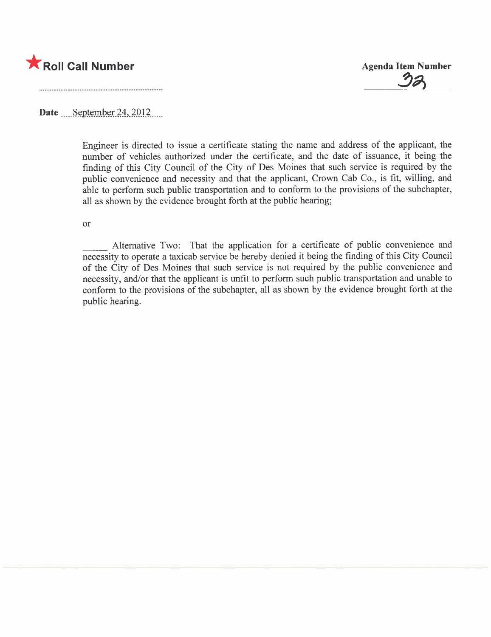

32

Date September 24, 2012

Engineer is directed to issue a certificate stating the name and address of the applicant, the number of vehicles authorized under the certificate, and the date of issuance, it being the finding of this City Council of the City of Des Moines that such service is required by the public convenience and necessity and that the applicant, Crown Cab Co., is fit, wiling, and able to perform such public transportation and to conform to the provisions of the subchapter, all as shown by the evidence brought forth at the public hearing;

or

Alternative Two: That the application for a certificate of public convenience and necessity to operate a taxicab service be hereby denied it being the finding of this City Council of the City of Des Moines that such service is not required by the public convenience and necessity, and/or that the applicant is unfit to perform such public transportation and unable to conform to the provisions of the subchapter, all as shown by the evidence brought forth at the public hearing.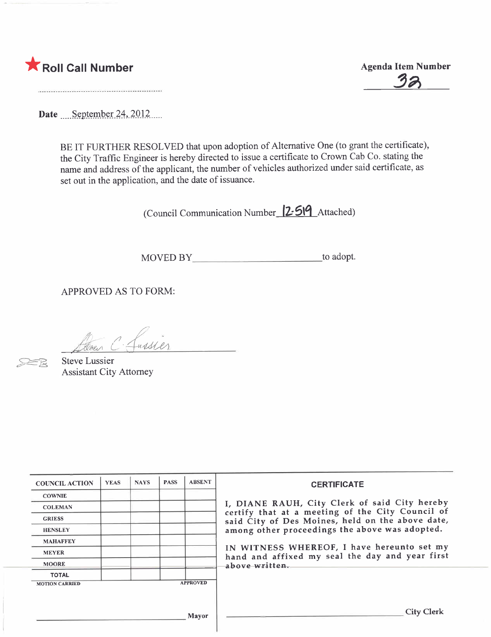

32

Date September 24, 2012....

BE IT FURTHER RESOLVED that upon adoption of Alternative One (to grant the certificate), the City Traffic Engineer is hereby directed to issue a certificate to Crown Cab Co. stating the name and address of the applicant, the number of vehicles authorized under said certificate, as set out in the application, and the date of issuance.

(Council Communication Number 12:519 Attached)

MOVED BY to adopt.

APPROVED AS TO FORM:

Aven C. Lussier

Steve Lussier Assistant City Attorney

| <b>COUNCIL ACTION</b> | <b>YEAS</b> | <b>NAYS</b> | <b>PASS</b> | <b>ABSENT</b>   | <b>CERTIFICATE</b>                                                                                              |  |  |  |  |  |
|-----------------------|-------------|-------------|-------------|-----------------|-----------------------------------------------------------------------------------------------------------------|--|--|--|--|--|
| <b>COWNIE</b>         |             |             |             |                 |                                                                                                                 |  |  |  |  |  |
| <b>COLEMAN</b>        |             |             |             |                 | I, DIANE RAUH, City Clerk of said City hereby<br>certify that at a meeting of the City Council of               |  |  |  |  |  |
| <b>GRIESS</b>         |             |             |             |                 | said City of Des Moines, held on the above date,                                                                |  |  |  |  |  |
| <b>HENSLEY</b>        |             |             |             |                 | among other proceedings the above was adopted.                                                                  |  |  |  |  |  |
| <b>MAHAFFEY</b>       |             |             |             |                 |                                                                                                                 |  |  |  |  |  |
| <b>MEYER</b>          |             |             |             |                 | IN WITNESS WHEREOF, I have hereunto set my<br>hand and affixed my seal the day and year first<br>above written. |  |  |  |  |  |
| <b>MOORE</b>          |             |             |             |                 |                                                                                                                 |  |  |  |  |  |
| <b>TOTAL</b>          |             |             |             |                 |                                                                                                                 |  |  |  |  |  |
| <b>MOTION CARRIED</b> |             |             |             | <b>APPROVED</b> |                                                                                                                 |  |  |  |  |  |
|                       |             |             |             |                 |                                                                                                                 |  |  |  |  |  |
|                       |             |             |             | Mavor           | <b>City Clerk</b>                                                                                               |  |  |  |  |  |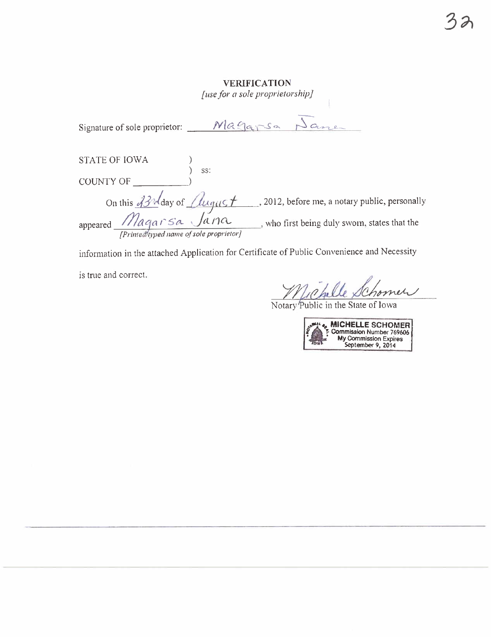#### **VERIFICATION**

[use for a sole proprietorship]

| STATE OF IOWA                                                         | SS: |                                                |  |
|-----------------------------------------------------------------------|-----|------------------------------------------------|--|
| <b>COUNTY OF</b>                                                      |     |                                                |  |
|                                                                       |     | , 2012, before me, a notary public, personally |  |
| On this 33nd day of August<br>[Printed typed name of sole proprietor] |     | , who first being duly sworn, states that the  |  |

information in the attached Application for Certificate of Public Convenience and Necessity

is true and correct.

Mchelle Schome<br>Notary Public in the State of Iowa new

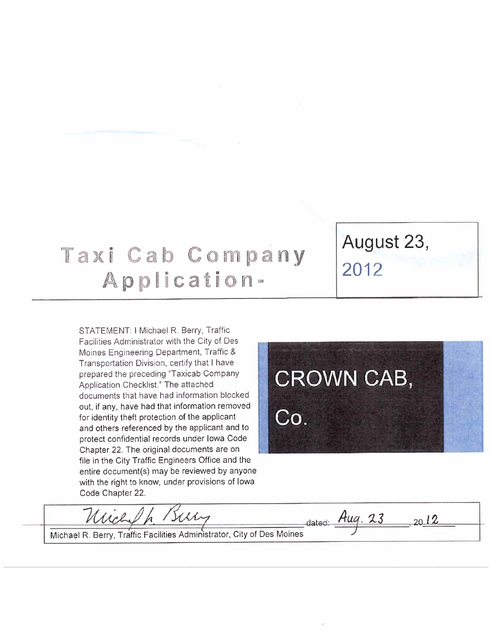## Taxi Cab Company Application-

STATEMENT: I Michael R. Berry, Traffic Facilities Administrator with the City of Des Moines Engineering Department, Traffic & Transportation Division, certify that I have prepared the preceding "Taxicab Company Application Checklist." The attached documents that have had information blocked out, if any, have had that information removed for identity theft protection of the applicant and others referenced by the applicant and to protect confidential records under Iowa Code Chapter 22. The original documents are on file in the City Traffic Engineers Office and the entire document(s) may be reviewed by anyone with the right to know, under provisions of Iowa Code Chapter 22.

# **CROWN CAB,** Co.

 $2012$ 

dated:  $Aug. 23$ 

August 23,

2012

Mich Whh

Michael R. Berry, Traffic Facilities Administrator, City of Des Moines 7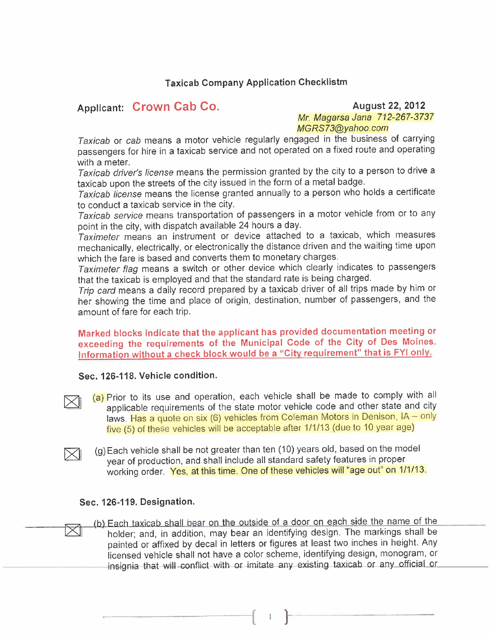#### Taxicab Company Application Checklistm

#### Applicant: Crown Cab Co. August 22, 2012

Mr. Magarsa Jana 712-267-3737 MGRS73@yahoo.com

Taxicab or cab means a motor vehicle regularly engaged in the business of carrying passengers for hire in a taxicab service and not operated on a fixed route and operating with a meter.

Taxicab driver's license means the permission granted by the city to a person to drive a taxicab upon the streets of the city issued in the form of a metal badge.

Taxicab license means the license granted annually to a person who holds a certificate to conduct a taxicab service in the city.

Taxicab service means transportation of passengers in a motor vehicle from or to any point in the city, with dispatch available 24 hours a day.

Taximeter means an instrument or device attached to a taxicab, which measures mechanically, electrically, or electronically the distance driven and the waiting time upon which the fare is based and converts them to monetary charges.

Taximeter flag means a switch or other device which clearly indicates to passengers that the taxicab is employed and that the standard rate is being charged.

Trip card means a daily record prepared by a taxicab driver of all trips made by him or her showing the time and place of origin, destination, number of passengers, and the amount of fare for each trip.

Marked blocks indicate that the applicant has provided documentation meeting or exceeding the requirements of the Municipal Code of the City of Des Moines. Information without a check block would be a "City requirement" that is FYI only.

#### Sec. 126-118. Vehicle condition.

- $\boxtimes$  (a) Prior to its use and operation, each vehicle shall be made to comply with all<br>applicable requirements of the state motor vehicle code and other state and city laws. Has a quote on six (6) vehicles from Coleman Motors in Denison, IA - only five (5) of these vehicles will be acceptable after 1/1/13 (due to 10 year age)
- $\boxtimes$  (g)Each vehicle shall be not greater than ten (10) years old, based on the model<br>year of production, and shall include all standard safety features in proper working order. Yes, at this time. One of these vehicles will "age out" on 1/1/13.

#### Sec. 126-119. Designation.

(b) Each taxicab shall bear on the outside of a door on each side the name of the holder; and, in addition, may bear an identifying design. The markings shall be painted or affixed by decal in letters or figures at least two inches in height. Any licensed vehicle shall not have a color scheme, identifying design, monogram, or insignia-that-will-conflict-with-or-imitate-any-existing taxicab or any official or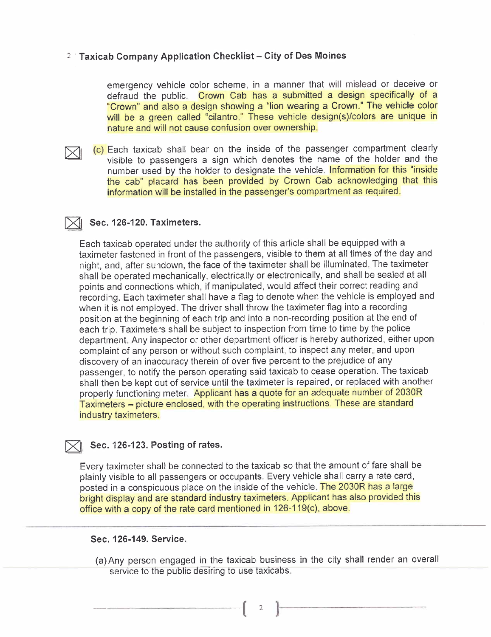#### $2$  Taxicab Company Application Checklist - City of Des Moines

emergency vehicle color scheme, in a manner that will mislead or deceive or defraud the public. Crown Cab has a submitted a design specifically of a "Crown" and also a design showing a "lion wearing a Crown." The vehicle color will be a green called "cilantro." These vehicle design(s)/colors are unique in nature and will not cause confusion over ownership.

C) Each taxicab shall bear on the inside of the passenger compartment clearly<br>visible to passengers a sign which denotes the name of the holder and the number used by the holder to designate the vehicle. Information for this "inside the cab" placard has been provided by Crown Cab acknowledging that this information will be installed in the passenger's compartment as required.

#### $\times$  Sec. 126-120. Taximeters.

Each taxicab operated under the authority of this article shall be equipped with a taximeter fastened in front of the passengers, visible to them at all times of the day and night, and, after sundown, the face of the taximeter shall be illuminated. The taximeter shall be operated mechanically, electrically or electronically, and shall be sealed at all points and connections which, if manipulated, would affect their correct reading and recording. Each taximeter shall have a flag to denote when the vehicle is employed and when it is not employed. The driver shall throw the taximeter flag into a recording position at the beginning of each trip and into a non-recording position at the end of each trip. Taximeters shall be subject to inspection from time to time by the police department. Any inspector or other department officer is hereby authorized, either upon complaint of any person or without such complaint, to inspect any meter, and upon discovery of an inaccuracy therein of over five percent to the prejudice of any passenger, to notify the person operating said taxicab to cease operation. The taxicab shall then be kept out of service until the taximeter is repaired, or replaced with another properly functioning meter. Applicant has a quote for an adequate number of 2030R Taximeters - picture enclosed, with the operating instructions. These are standard industry taximeters.

#### Sec. 126-123. Posting of rates.

Every taximeter shall be connected to the taxicab so that the amount of fare shall be plainly visible to all passengers or occupants. Every vehicle shall carry a rate card, posted in a conspicuous place on the inside of the vehicle. The 2030R has a large bright display and are standard industry taximeters. Applicant has also provided this office with a copy of the rate card mentioned in 126-119(c), above.

#### Sec. 126-149. Service.

(a) Any person engaged in the taxicab business in the city shall render an overall service to the public desiring to use taxicabs.

 $\left(\begin{array}{cc} 2 & 1 \end{array}\right)$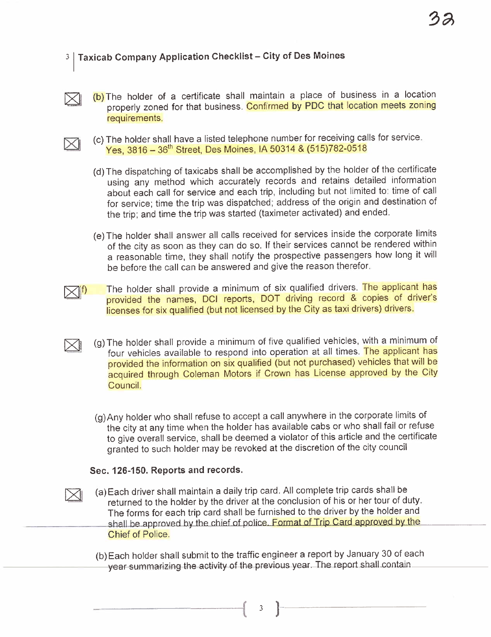#### 3 | Taxicab Company Application Checklist - City of Des Moines

(b) The holder of a certificate shall maintain a place of business in a location properly zoned for that business. Confirmed by PDC that location meets zoning requirements.



 $\boxtimes$ 

 $\boxtimes$ 

 $\boxtimes$ 

- (c) The holder shall have a listed telephone number for receiving calls for service. Yes, 3816 - 36th Street, Des Moines, IA 50314 & (515)782-0518
- (d) The dispatching of taxicabs shall be accomplished by the holder of the certificate using any method which accurately records and retains detailed information about each call for service and each trip, including but not limited to: time of call for service; time the trip was dispatched; address of the origin and destination of the trip; and time the trip was started (taximeter activated) and ended.
- (e) The holder shall answer all calls received for services inside the corporate limits of the city as soon as they can do so. If their services cannot be rendered within a reasonable time, they shall notify the prospective passengers how long it will be before the call can be answered and give the reason therefor.
- $\times$ 11 The holder shall provide a minimum of six qualified drivers. The applicant has provided the names, DCI reports, DOT driving record & copies of driver's licenses for six qualified (but not licensed by the City as taxi drivers) drivers.
	- (g) The holder shall provide a minimum of five qualified vehicles, with a minimum of four vehicles available to respond into operation at all times. The applicant has provided the information on six qualified (but not purchased) vehicles that will be acquired through Coleman Motors if Crown has License approved by the City CounciL.
		- (g) Any holder who shall refuse to accept a call anywhere in the corporate limits of the city at any time when the holder has available cabs or who shall fail or refuse to give overall service, shall be deemed a violator of this article and the certificate granted to such holder may be revoked at the discretion of the city council

#### Sec. 126-150. Reports and records.

- (a) Each driver shall maintain a daily trip card. All complete trip cards shall be returned to the holder by the driver at the conclusion of his or her tour of duty. The forms for each trip card shall be furnished to the driver by the holder and shall be approved by the chief of police. Format of Trip Card approved by the Chief of Police.
- (b) Each holder shall submit to the traffic engineer a report by January 30 of each year-summarizing-the-activity of the previous-year. The report-shall contain

 $\begin{pmatrix} 3 & 1 \end{pmatrix}$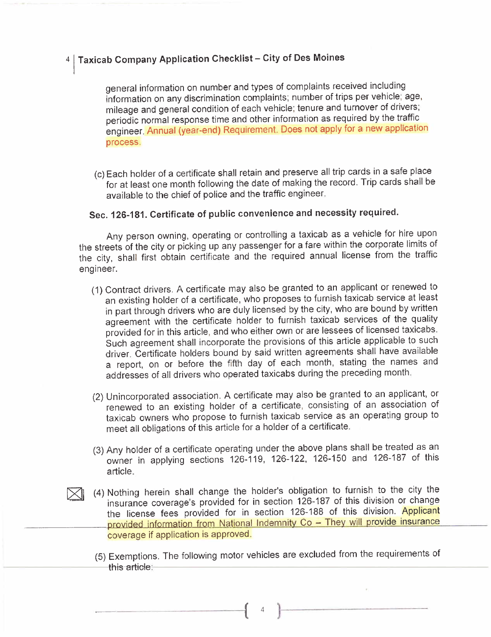#### Taxicab Company Application Checklist - City of Des Moines

general information on number and types of complaints received including information on any discrimination complaints; number of trips per vehicle; age, mileage and general condition of each vehicle; tenure and turnover of drivers; periodic normal response time and other information as required by the traffic engineer. Annual (year-end) Requirement. Does not apply for a new application process.

(c) Each holder of a certificate shall retain and preserve all trip cards in a safe place for at least one month following the date of making the record. Trip cards shall be available to the chief of police and the traffic engineer.

### Sec. 126-181. Certificate of public convenience and necessity required.

Any person owning, operating or controlling a taxicab as a vehicle for hire upon the streets of the city or picking up any passenger for a fare within the corporate limits of the city, shall first obtain certificate and the required annual license from the traffic engineer.

- (1) Contract drivers. A certificate may also be granted to an applicant or renewed to an existing holder of a certificate, who proposes to furnish taxicab service at least in part through drivers who are duly licensed by the city, who are bound by written agreement with the certificate holder to furnish taxicab services of the quality provided for in this article, and who either own or are lessees of licensed taxicabs. Such agreement shall incorporate the provisions of this article applicable to such driver. Certificate holders bound by said written agreements shall have available a report, on or before the fifth day of each month, stating the names and addresses of all drivers who operated taxicabs during the preceding month.
- (2) Unincorporated association. A certificate may also be granted to an applicant, or renewed to an existing holder of a certificate, consisting of an association of taxicab owners who propose to furnish taxicab service as an operating group to meet all obligations of this article for a holder of a certificate.
- (3) Any holder of a certificate operating under the above plans shall be treated as an owner in applying sections 126-119, 126-122, 126-150 and 126-187 of this article.
- (4) Nothing herein shall change the holder's obligation to furnish to the city the insurance coverage's provided for in section 126-187 of this division or change the license fees provided for in section 126-188 of this division. Applicant provided information from National Indemnity Co - They will provide insurance coverage if application is approved.
	- (5) Exemptions. The following motor vehicles are excluded from the requirements of this article:

 $(1, 1)$